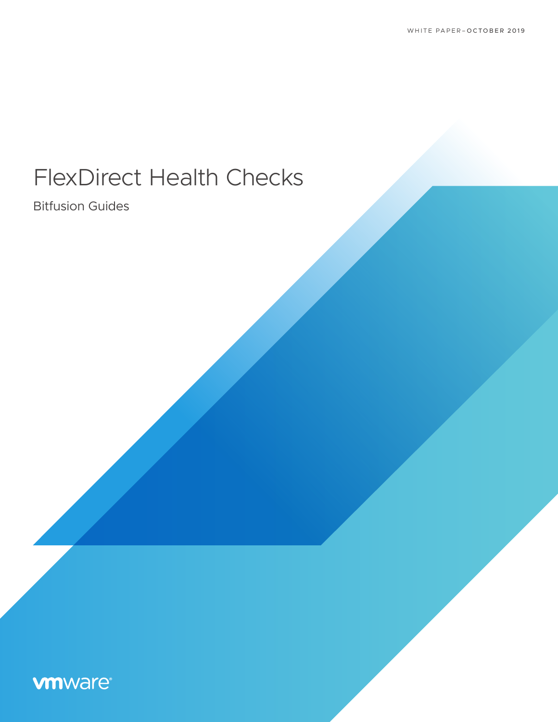# FlexDirect Health Checks

Bitfusion Guides

# **vm**ware<sup>®</sup>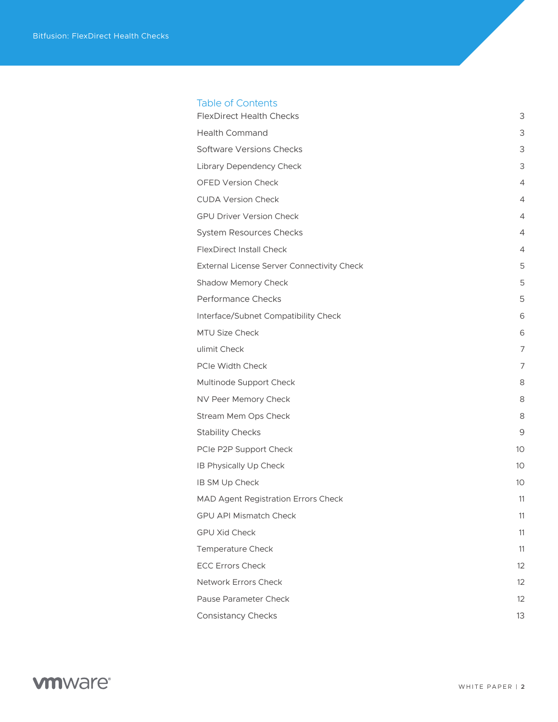#### Table of Contents

| <b>FlexDirect Health Checks</b>            | 3              |
|--------------------------------------------|----------------|
| <b>Health Command</b>                      | 3              |
| <b>Software Versions Checks</b>            | 3              |
| Library Dependency Check                   | 3              |
| <b>OFED Version Check</b>                  | $\overline{4}$ |
| <b>CUDA Version Check</b>                  | 4              |
| <b>GPU Driver Version Check</b>            | $\overline{4}$ |
| <b>System Resources Checks</b>             | 4              |
| <b>FlexDirect Install Check</b>            | 4              |
| External License Server Connectivity Check | 5              |
| Shadow Memory Check                        | 5              |
| Performance Checks                         | 5              |
| Interface/Subnet Compatibility Check       | 6              |
| <b>MTU Size Check</b>                      | 6              |
| ulimit Check                               | 7              |
| PCIe Width Check                           | $\overline{7}$ |
| Multinode Support Check                    | 8              |
| NV Peer Memory Check                       | 8              |
| Stream Mem Ops Check                       | 8              |
| <b>Stability Checks</b>                    | 9              |
| PCIe P2P Support Check                     | 10             |
| IB Physically Up Check                     | 10             |
| IB SM Up Check                             | 10             |
| MAD Agent Registration Errors Check        | 11             |
| <b>GPU API Mismatch Check</b>              | 11             |
| <b>GPU Xid Check</b>                       | 11             |
| <b>Temperature Check</b>                   | 11             |
| <b>ECC Errors Check</b>                    | 12             |
| Network Errors Check                       | 12             |
| Pause Parameter Check                      | 12             |
| <b>Consistancy Checks</b>                  | 13             |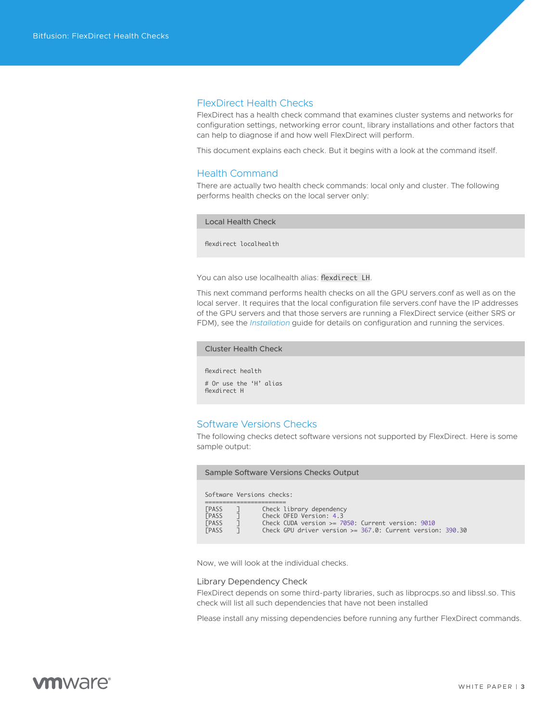#### <span id="page-2-0"></span>FlexDirect Health Checks

FlexDirect has a health check command that examines cluster systems and networks for configuration settings, networking error count, library installations and other factors that can help to diagnose if and how well FlexDirect will perform.

This document explains each check. But it begins with a look at the command itself.

#### Health Command

There are actually two health check commands: local only and cluster. The following performs health checks on the local server only:

Local Health Check

flexdirect localhealth

You can also use localhealth alias: flexdirect LH.

This next command performs health checks on all the GPU servers.conf as well as on the local server. It requires that the local configuration file servers.conf have the IP addresses of the GPU servers and that those servers are running a FlexDirect service (either SRS or FDM), see the *[Installation](https://www-review.vmware.com/solutions/business-critical-apps/hardwareaccelerators-virtualization.html 
)* guide for details on configuration and running the services.

#### Cluster Health Check

flexdirect health # Or use the 'H' alias flexdirect H

#### Software Versions Checks

The following checks detect software versions not supported by FlexDirect. Here is some sample output:

Sample Software Versions Checks Output

Software Versions checks:

| <b><i>FPASS</i></b> |  | Check library dependency                                     |  |
|---------------------|--|--------------------------------------------------------------|--|
| <b><i>FPASS</i></b> |  | Check OFED Version: 4.3                                      |  |
| <b><i>FPASS</i></b> |  | Check CUDA version $>= 7050$ : Current version: 9010         |  |
| <b><i>FPASS</i></b> |  | Check GPU driver version $>=$ 367.0: Current version: 390.30 |  |

Now, we will look at the individual checks.

#### Library Dependency Check

FlexDirect depends on some third-party libraries, such as libprocps.so and libssl.so. This check will list all such dependencies that have not been installed

Please install any missing dependencies before running any further FlexDirect commands.

# **vm**ware<sup>®</sup>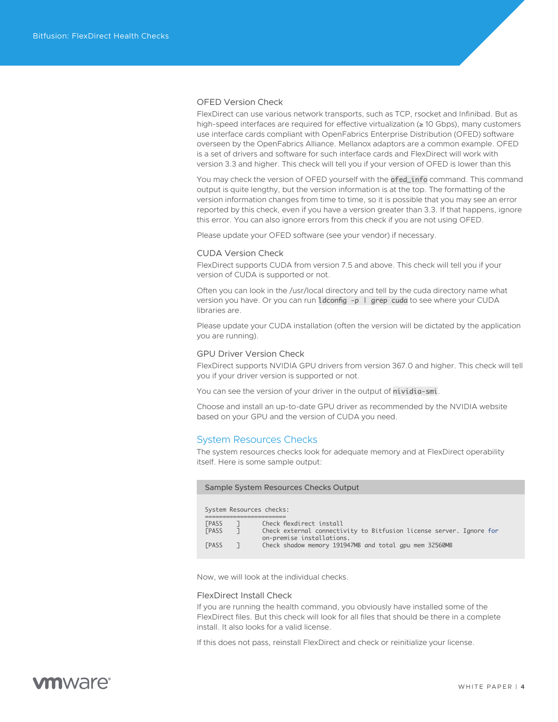#### <span id="page-3-0"></span>OFED Version Check

FlexDirect can use various network transports, such as TCP, rsocket and Infinibad. But as high-speed interfaces are required for effective virtualization (≥ 10 Gbps), many customers use interface cards compliant with OpenFabrics Enterprise Distribution (OFED) software overseen by the OpenFabrics Alliance. Mellanox adaptors are a common example. OFED is a set of drivers and software for such interface cards and FlexDirect will work with version 3.3 and higher. This check will tell you if your version of OFED is lower than this

You may check the version of OFED yourself with the ofed\_info command. This command output is quite lengthy, but the version information is at the top. The formatting of the version information changes from time to time, so it is possible that you may see an error reported by this check, even if you have a version greater than 3.3. If that happens, ignore this error. You can also ignore errors from this check if you are not using OFED.

Please update your OFED software (see your vendor) if necessary.

#### CUDA Version Check

FlexDirect supports CUDA from version 7.5 and above. This check will tell you if your version of CUDA is supported or not.

Often you can look in the /usr/local directory and tell by the cuda directory name what version you have. Or you can run  $ld$ config -p | grep cuda to see where your CUDA libraries are.

Please update your CUDA installation (often the version will be dictated by the application you are running).

#### GPU Driver Version Check

FlexDirect supports NVIDIA GPU drivers from version 367.0 and higher. This check will tell you if your driver version is supported or not.

You can see the version of your driver in the output of nividia-smi.

Choose and install an up-to-date GPU driver as recommended by the NVIDIA website based on your GPU and the version of CUDA you need.

#### System Resources Checks

The system resources checks look for adequate memory and at FlexDirect operability itself. Here is some sample output:

| Sample System Resources Checks Output |  |                                                                                                                              |  |  |
|---------------------------------------|--|------------------------------------------------------------------------------------------------------------------------------|--|--|
|                                       |  | System Resources checks:                                                                                                     |  |  |
| <b>[PASS</b><br><b><i>FPASS</i></b>   |  | Check flexdirect install<br>Check external connectivity to Bitfusion license server. Ignore for<br>on-premise installations. |  |  |
| <b><i>FPASS</i></b>                   |  | Check shadow memory 191947MB and total gpu mem 32560MB                                                                       |  |  |

Now, we will look at the individual checks.

#### FlexDirect Install Check

If you are running the health command, you obviously have installed some of the FlexDirect files. But this check will look for all files that should be there in a complete install. It also looks for a valid license.

If this does not pass, reinstall FlexDirect and check or reinitialize your license.

# *m*mware<sup>®</sup>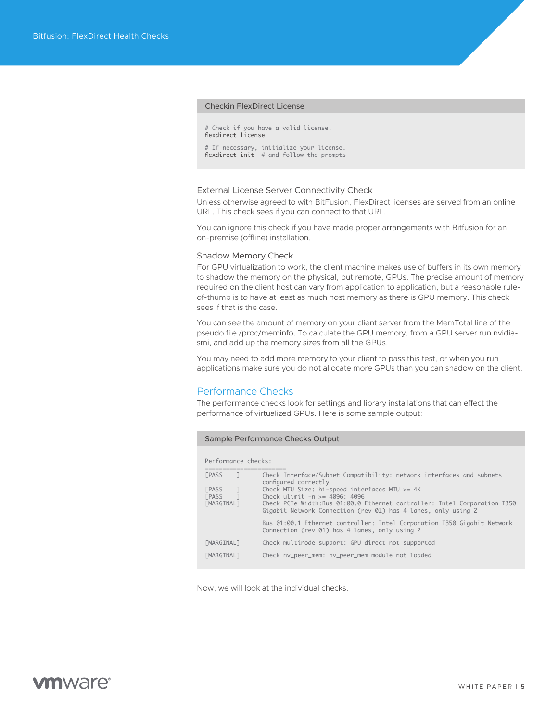#### <span id="page-4-0"></span>Checkin FlexDirect License

# Check if you have a valid license. flexdirect license

# If necessary, initialize your license. flexdirect init # and follow the prompts

#### External License Server Connectivity Check

Unless otherwise agreed to with BitFusion, FlexDirect licenses are served from an online URL. This check sees if you can connect to that URL.

You can ignore this check if you have made proper arrangements with Bitfusion for an on-premise (offline) installation.

#### Shadow Memory Check

For GPU virtualization to work, the client machine makes use of buffers in its own memory to shadow the memory on the physical, but remote, GPUs. The precise amount of memory required on the client host can vary from application to application, but a reasonable ruleof-thumb is to have at least as much host memory as there is GPU memory. This check sees if that is the case.

You can see the amount of memory on your client server from the MemTotal line of the pseudo file /proc/meminfo. To calculate the GPU memory, from a GPU server run nvidiasmi, and add up the memory sizes from all the GPUs.

You may need to add more memory to your client to pass this test, or when you run applications make sure you do not allocate more GPUs than you can shadow on the client.

#### Performance Checks

The performance checks look for settings and library installations that can effect the performance of virtualized GPUs. Here is some sample output:

#### Sample Performance Checks Output

Performance checks:

| <b>FPASS</b>                                                                  | Check Interface/Subnet Compatibility: network interfaces and subnets<br>configured correctly                                                                                                                                      |
|-------------------------------------------------------------------------------|-----------------------------------------------------------------------------------------------------------------------------------------------------------------------------------------------------------------------------------|
| <b><i>FPASS</i></b><br><b><i>FPASS</i></b><br><b><i><u>FMARGINALT</u></i></b> | Check MTU Size: hi-speed interfaces MTU $>= 4K$<br>Check ulimit $-n \ge 4096$ : 4096<br>Check PCIe Width:Bus 01:00.0 Ethernet controller: Intel Corporation I350<br>Gigabit Network Connection (rev 01) has 4 lanes, only using 2 |
|                                                                               | Bus 01:00.1 Ethernet controller: Intel Corporation I350 Gigabit Network<br>Connection (rev 01) has 4 lanes, only using 2                                                                                                          |
| <b><i><u>FMARGINALT</u></i></b>                                               | Check multinode support: GPU direct not supported                                                                                                                                                                                 |
| <b><i><u>FMARGINALT</u></i></b>                                               | Check nv_peer_mem: nv_peer_mem module not loaded                                                                                                                                                                                  |

Now, we will look at the individual checks.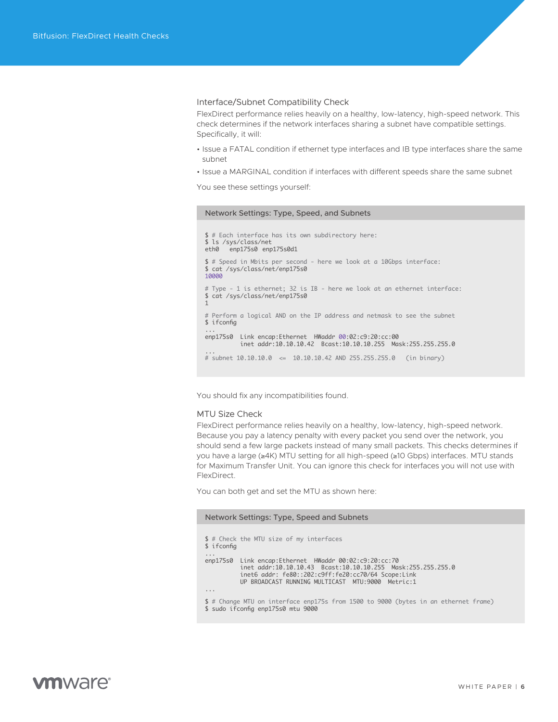#### <span id="page-5-0"></span>Interface/Subnet Compatibility Check

FlexDirect performance relies heavily on a healthy, low-latency, high-speed network. This check determines if the network interfaces sharing a subnet have compatible settings. Specifically, it will:

- Issue a FATAL condition if ethernet type interfaces and IB type interfaces share the same subnet
- Issue a MARGINAL condition if interfaces with different speeds share the same subnet

You see these settings yourself:

#### Network Settings: Type, Speed, and Subnets

```
$ # Each interface has its own subdirectory here:
$ ls /sys/class/net
eth0 enp175s0 enp175s0d1
$ # Speed in Mbits per second - here we look at a 10Gbps interface:
$ cat /sys/class/net/enp175s0
10000
# Type - 1 is ethernet; 32 is IB - here we look at an ethernet interface:
$ cat /sys/class/net/enp175s0
1
# Perform a logical AND on the IP address and netmask to see the subnet
$ ifconfig
...
enp175s0 Link encap:Ethernet HWaddr 00:02:c9:20:cc:00 
           inet addr:10.10.10.42 Bcast:10.10.10.255 Mask:255.255.255.0
...
# subnet 10.10.10.0 <= 10.10.10.42 AND 255.255.255.0 (in binary)
```
You should fix any incompatibilities found.

#### MTU Size Check

FlexDirect performance relies heavily on a healthy, low-latency, high-speed network. Because you pay a latency penalty with every packet you send over the network, you should send a few large packets instead of many small packets. This checks determines if you have a large (≥4K) MTU setting for all high-speed (≥10 Gbps) interfaces. MTU stands for Maximum Transfer Unit. You can ignore this check for interfaces you will not use with FlexDirect.

You can both get and set the MTU as shown here:

#### Network Settings: Type, Speed and Subnets

| \$ ifconfig             | \$ # Check the MTU size of my interfaces                                                                                                                                                                                        |
|-------------------------|---------------------------------------------------------------------------------------------------------------------------------------------------------------------------------------------------------------------------------|
| $\cdots$                | enp175s0 Link encap: Ethernet HWaddr 00:02:c9:20:cc:70<br>inet addr:10.10.10.43 Bcast:10.10.10.255 Mask:255.255.255.0<br>inet6 addr: fe80::202:c9ff:fe20:cc70/64 Scope:Link<br>UP BROADCAST RUNNING MULTICAST MTU:9000 Metric:1 |
| $\cdot$ $\cdot$ $\cdot$ |                                                                                                                                                                                                                                 |
|                         | \$ # Change MTU on interface enp175s from 1500 to 9000 (bytes in an ethernet frame)<br>$\sigma$ cude if config on $17550$ mtu 0000                                                                                              |

udo ifconfig enp175s0 mtu 9000،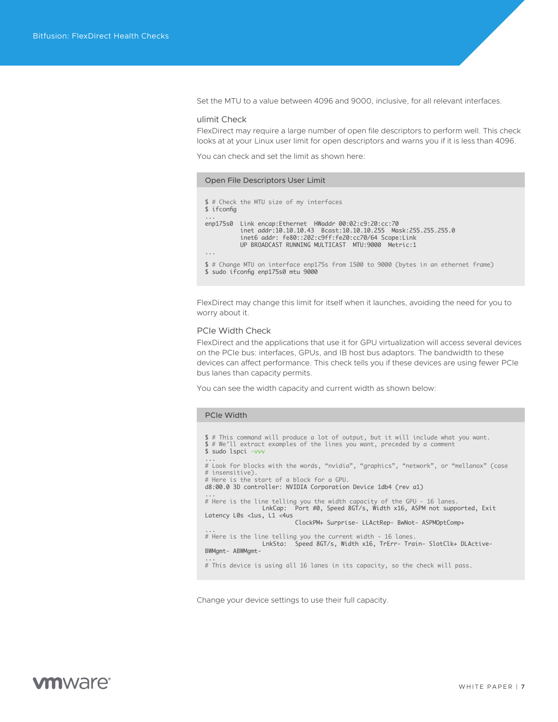<span id="page-6-0"></span>Set the MTU to a value between 4096 and 9000, inclusive, for all relevant interfaces.

#### ulimit Check

FlexDirect may require a large number of open file descriptors to perform well. This check looks at at your Linux user limit for open descriptors and warns you if it is less than 4096.

You can check and set the limit as shown here:

#### Open File Descriptors User Limit

```
$ # Check the MTU size of my interfaces
$ ifconfig
...
enp175s0 Link encap:Ethernet HWaddr 00:02:c9:20:cc:70 
            inet addr:10.10.10.43 Bcast:10.10.10.255 Mask:255.255.255.0
 inet6 addr: fe80::202:c9ff:fe20:cc70/64 Scope:Link
 UP BROADCAST RUNNING MULTICAST MTU:9000 Metric:1
...
$ # Change MTU on interface enp175s from 1500 to 9000 (bytes in an ethernet frame)
$ sudo ifconfig enp175s0 mtu 9000
```
FlexDirect may change this limit for itself when it launches, avoiding the need for you to worry about it.

#### PCIe Width Check

FlexDirect and the applications that use it for GPU virtualization will access several devices on the PCIe bus: interfaces, GPUs, and IB host bus adaptors. The bandwidth to these devices can affect performance. This check tells you if these devices are using fewer PCIe bus lanes than capacity permits.

You can see the width capacity and current width as shown below:

#### PCIe Width

```
$ # This command will produce a lot of output, but it will include what you want.
$ # We'll extract examples of the lines you want, preceded by a comment
$ sudo lspci -vvv
...
# Look for blocks with the words, "nvidia", "graphics", "network", or "mellanox" (case
# insensitive).
# Here is the start of a block for a GPU.
d8:00.0 3D controller: NVIDIA Corporation Device 1db4 (rev a1)
...
# Here is the line telling you the width capacity of the GPU - 16 lanes.
                LnkCap: Port #0, Speed 8GT/s, Width x16, ASPM not supported, Exit
Latency L0s <1us, L1 <4us
                          ClockPM+ Surprise- LLActRep- BwNot- ASPMOptComp+
...
# Here is the line telling you the current width - 16 lanes.
                LnkSta: Speed 8GT/s, Width x16, TrErr- Train- SlotClk+ DLActive-
BWMgmt- ABWMgmt-
...
# This device is using all 16 lanes in its capacity, so the check will pass.
```
Change your device settings to use their full capacity.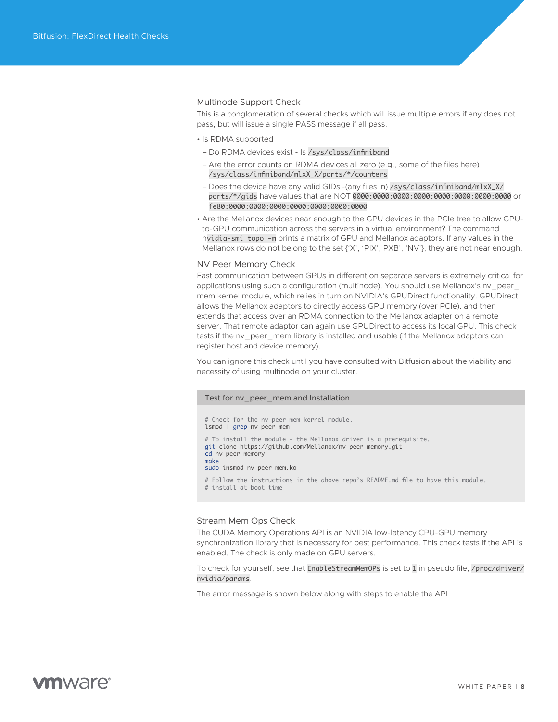#### <span id="page-7-0"></span>Multinode Support Check

This is a conglomeration of several checks which will issue multiple errors if any does not pass, but will issue a single PASS message if all pass.

- Is RDMA supported
- Do RDMA devices exist ls /sys/class/infiniband
- Are the error counts on RDMA devices all zero (e.g., some of the files here) /sys/class/infiniband/mlxX\_X/ports/\*/counters
- Does the device have any valid GIDs -(any files in) /sys/class/infiniband/mlxX\_X/ ports/\*/gids have values that are NOT 0000:0000:0000:0000:0000:0000:0000:0000 or fe80:0000:0000:0000:0000:0000:0000:0000
- Are the Mellanox devices near enough to the GPU devices in the PCIe tree to allow GPUto-GPU communication across the servers in a virtual environment? The command nvidia-smi topo -m prints a matrix of GPU and Mellanox adaptors. If any values in the Mellanox rows do not belong to the set {'X', 'PIX', PXB', 'NV'}, they are not near enough.

#### NV Peer Memory Check

Fast communication between GPUs in different on separate servers is extremely critical for applications using such a configuration (multinode). You should use Mellanox's nv\_peer\_ mem kernel module, which relies in turn on NVIDIA's GPUDirect functionality. GPUDirect allows the Mellanox adaptors to directly access GPU memory (over PCIe), and then extends that access over an RDMA connection to the Mellanox adapter on a remote server. That remote adaptor can again use GPUDirect to access its local GPU. This check tests if the nv\_peer\_mem library is installed and usable (if the Mellanox adaptors can register host and device memory).

You can ignore this check until you have consulted with Bitfusion about the viability and necessity of using multinode on your cluster.

#### Test for nv\_peer\_mem and Installation

# Check for the ny peer mem kernel module. lsmod | grep nv\_peer\_mem # To install the module - the Mellanox driver is a prerequisite. git clone https://github.com/Mellanox/nv\_peer\_memory.git cd nv\_peer\_memory make sudo insmod nv\_peer\_mem.ko

# Follow the instructions in the above repo's README.md file to have this module.

# install at boot time

#### Stream Mem Ops Check

The CUDA Memory Operations API is an NVIDIA low-latency CPU-GPU memory synchronization library that is necessary for best performance. This check tests if the API is enabled. The check is only made on GPU servers.

To check for yourself, see that EnableStreamMemOPs is set to 1 in pseudo file, /proc/driver/ nvidia/params.

The error message is shown below along with steps to enable the API.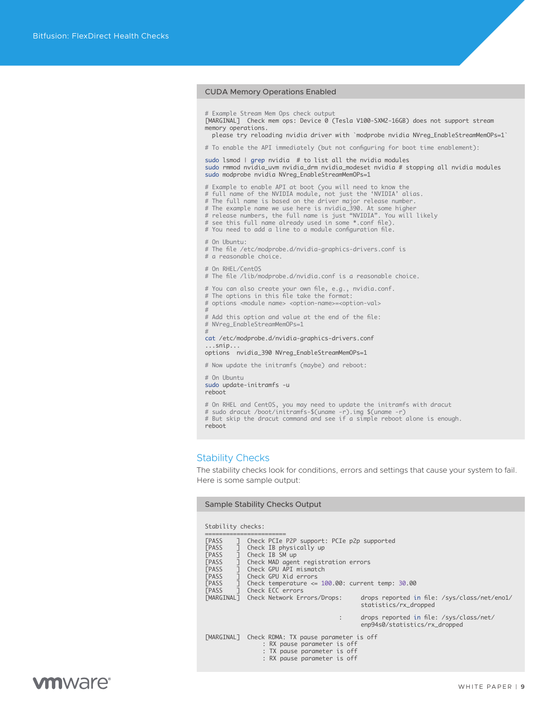#### <span id="page-8-0"></span>CUDA Memory Operations Enabled

# Example Stream Mem Ops check output [MARGINAL] Check mem ops: Device 0 (Tesla V100-SXM2-16GB) does not support stream memory operations.

please try reloading nvidia driver with `modprobe nvidia NVreg\_EnableStreamMemOPs=1`

# To enable the API immediately (but not configuring for boot time enablement):

sudo lsmod | grep nvidia # to list all the nvidia modules sudo rmmod nvidia\_uvm nvidia\_drm nvidia\_modeset nvidia # stopping all nvidia modules sudo modprobe nvidia NVreg\_EnableStreamMemOPs=1

# Example to enable API at boot (you will need to know the

- # full name of the NVIDIA module, not just the 'NVIDIA' alias.
- 
- 
- # The full name is based on the driver major release number. # The example name we use here is nvidia\_390. At some higher # release numbers, the full name is just "NVIDIA". You will likely
- # see this full name already used in some \*.conf file). # You need to add a line to a module configuration file.
- 
- # On Ubuntu:
- # The file /etc/modprobe.d/nvidia-graphics-drivers.conf is # a reasonable choice.
- 
- # On RHEL/CentOS
- # The file /lib/modprobe.d/nvidia.conf is a reasonable choice.
- # You can also create your own file, e.g., nvidia.conf. # The options in this file take the format:
- # options <module name> <option-name>=<option-val>
- 

# # Add this option and value at the end of the file: # NVreg\_EnableStreamMemOPs=1

# cat /etc/modprobe.d/nvidia-graphics-drivers.conf

...snip... options nvidia\_390 NVreg\_EnableStreamMemOPs=1

# Now update the initramfs (maybe) and reboot:

- # On Ubuntu sudo update-initramfs -u reboot
- # On RHEL and CentOS, you may need to update the initramfs with dracut
- 
- # sudo dracut /boot/initramfs-\$(uname -r).img \$(uname -r) # But skip the dracut command and see if a simple reboot alone is enough. reboot

#### Stability Checks

The stability checks look for conditions, errors and settings that cause your system to fail. Here is some sample output:

#### Sample Stability Checks Output

#### Stability checks:

| <b><i>FPASS</i></b><br>П.<br><b><i>FPASS</i></b> | Check PCIe P2P support: PCIe p2p supported<br>Check IB physically up                                                                          |                                                                          |  |  |
|--------------------------------------------------|-----------------------------------------------------------------------------------------------------------------------------------------------|--------------------------------------------------------------------------|--|--|
| <b><i>FPASS</i></b>                              | Check IB SM up                                                                                                                                |                                                                          |  |  |
| <b><i>FPASS</i></b>                              | Check MAD agent registration errors                                                                                                           |                                                                          |  |  |
| <b><i>FPASS</i></b>                              | Check GPU API mismatch                                                                                                                        |                                                                          |  |  |
| <b><i>FPASS</i></b>                              | Check GPU Xid errors                                                                                                                          |                                                                          |  |  |
| <b><i>FPASS</i></b>                              |                                                                                                                                               | Check temperature $\leq 100.00$ : current temp: 30.00                    |  |  |
| <b><i>FPASS</i></b>                              | 1 Check ECC errors                                                                                                                            |                                                                          |  |  |
|                                                  | [MARGINAL] Check Network Errors/Drops:                                                                                                        | drops reported in file: /sys/class/net/eno1/<br>statistics/rx_dropped    |  |  |
|                                                  |                                                                                                                                               | drops reported in file: /sys/class/net/<br>enp94s0/statistics/rx_dropped |  |  |
|                                                  | [MARGINAL] Check RDMA: TX pause parameter is off<br>: RX pause parameter is off<br>: TX pause parameter is off<br>: RX pause parameter is off |                                                                          |  |  |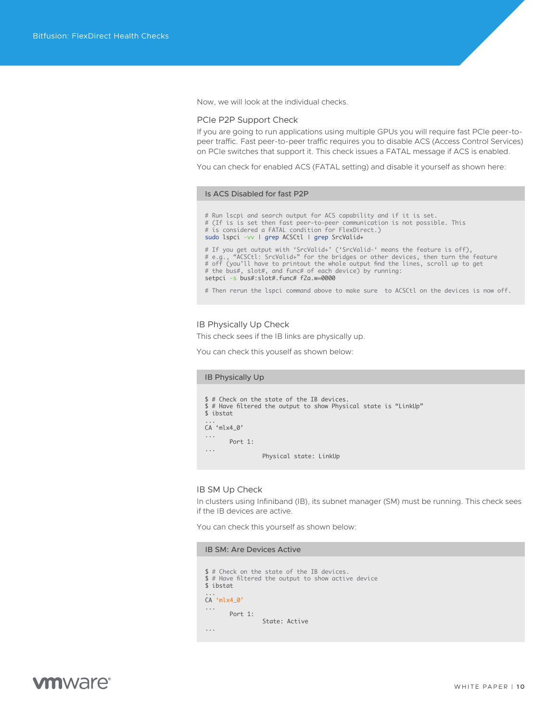<span id="page-9-0"></span>Now, we will look at the individual checks.

#### PCIe P2P Support Check

If you are going to run applications using multiple GPUs you will require fast PCIe peer-topeer traffic. Fast peer-to-peer traffic requires you to disable ACS (Access Control Services) on PCIe switches that support it. This check issues a FATAL message if ACS is enabled.

You can check for enabled ACS (FATAL setting) and disable it yourself as shown here:

#### Is ACS Disabled for fast P2P

# Run lscpi and search output for ACS capability and if it is set. # (If is is set then fast peer-to-peer communication is not possible. This # is considered a FATAL condition for FlexDirect.) sudo lspci -vv | grep ACSCtl | grep SrcValid+ # If you get output with 'SrcValid+' ('SrcValid-' means the feature is off),<br># e.g., "ACSCtl: SrcValid+" for the bridges or other devices, then turn the feature<br># off (you'll have to printout the whole output find the line # the bus#, slot#, and func# of each device) by running: setpci -s bus#:slot#.func# f2a.w=0000

# Then rerun the lspci command above to make sure to ACSCtl on the devices is now off.

#### IB Physically Up Check

This check sees if the IB links are physically up.

You can check this youself as shown below:

# IB Physically Up

\$ # Check on the state of the IB devices. \$ # Have filtered the output to show Physical state is "LinkUp" \$ ibstat ... CA 'mlx4\_0' ... Port 1: ...

Physical state: LinkUp

#### IB SM Up Check

In clusters using Infiniband (IB), its subnet manager (SM) must be running. This check sees if the IB devices are active.

You can check this yourself as shown below:

#### IB SM: Are Devices Active

- \$ # Check on the state of the IB devices.
- \$ # Have filtered the output to show active device  $$$  ibstat

### ... CA 'mlx4\_0'

Port 1: State: Active

...

...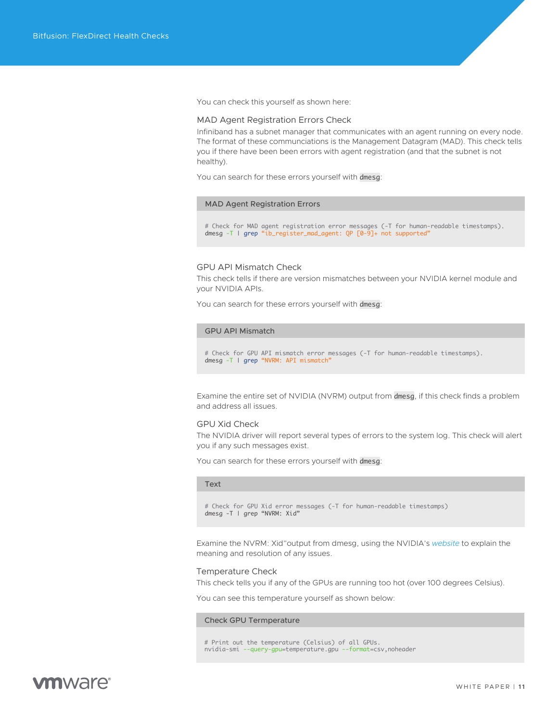<span id="page-10-0"></span>You can check this yourself as shown here:

#### MAD Agent Registration Errors Check

Infiniband has a subnet manager that communicates with an agent running on every node. The format of these communciations is the Management Datagram (MAD). This check tells you if there have been been errors with agent registration (and that the subnet is not healthy).

You can search for these errors yourself with dmesg:

#### MAD Agent Registration Errors

# Check for MAD agent registration error messages (-T for human-readable timestamps). dmesg -T | grep "ib\_register\_mad\_agent: QP [0-9]+ not supported"

#### GPU API Mismatch Check

This check tells if there are version mismatches between your NVIDIA kernel module and your NVIDIA APIs.

You can search for these errors yourself with dmesg:

#### GPU API Mismatch

# Check for GPU API mismatch error messages (-T for human-readable timestamps). dmesg -T | grep "NVRM: API mismatch"

Examine the entire set of NVIDIA (NVRM) output from dmesg, if this check finds a problem and address all issues.

#### GPU Xid Check

The NVIDIA driver will report several types of errors to the system log. This check will alert you if any such messages exist.

You can search for these errors yourself with dmesg:

#### Text

# Check for GPU Xid error messages (-T for human-readable timestamps) dmesg -T | grep "NVRM: Xid"

Examine the NVRM: Xid"output from dmesg, using the NVIDIA's *[website](https://docs.nvidia.com/deploy/xid-errors/index.html)* to explain the meaning and resolution of any issues.

#### Temperature Check

This check tells you if any of the GPUs are running too hot (over 100 degrees Celsius).

You can see this temperature yourself as shown below:

#### Check GPU Termperature

# Print out the temperature (Celsius) of all GPUs. nvidia-smi --query-gpu=temperature.gpu --format=csv,noheader

# mware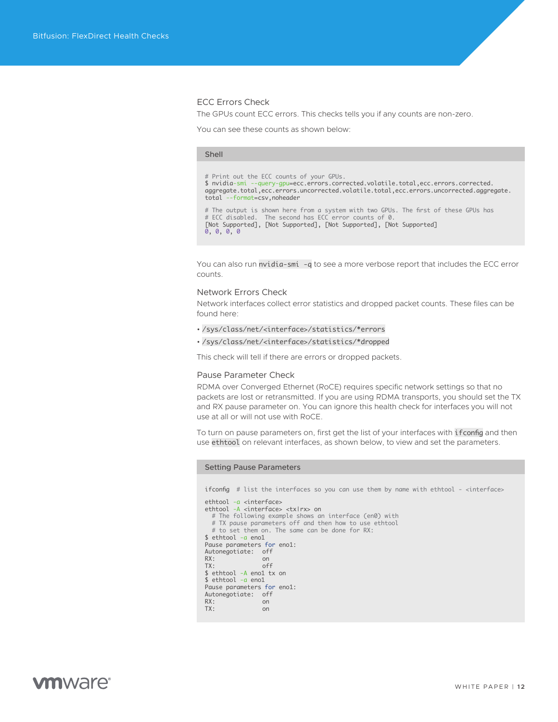#### <span id="page-11-0"></span>ECC Errors Check

The GPUs count ECC errors. This checks tells you if any counts are non-zero.

You can see these counts as shown below:

### Shell # Print out the ECC counts of your GPUs. \$ nvidia-smi --query-gpu=ecc.errors.corrected.volatile.total,ecc.errors.corrected.<br>aggregate.total,ecc.errors.uncorrected.volatile.total,ecc.errors.uncorrected.aggregate. total --format=csv,noheader # The output is shown here from a system with two GPUs. The first of these GPUs has<br># ECC disabled. The second has ECC error counts of 0.<br>[Not Supported], [Not Supported], [Not Supported], [Not Supported] 0, 0, 0, 0

You can also run nvidia-smi -q to see a more verbose report that includes the ECC error counts.

#### Network Errors Check

Network interfaces collect error statistics and dropped packet counts. These files can be found here:

- /sys/class/net/<interface>/statistics/\*errors
- /sys/class/net/<interface>/statistics/\*dropped

This check will tell if there are errors or dropped packets.

#### Pause Parameter Check

RDMA over Converged Ethernet (RoCE) requires specific network settings so that no packets are lost or retransmitted. If you are using RDMA transports, you should set the TX and RX pause parameter on. You can ignore this health check for interfaces you will not use at all or will not use with RoCE.

To turn on pause parameters on, first get the list of your interfaces with ifconfig and then use ethtool on relevant interfaces, as shown below, to view and set the parameters.

#### Setting Pause Parameters

ifconfig # list the interfaces so you can use them by name with ethtool - <interface>

```
ethtool -a <interface>
ethtool -A <interface> <tx|rx> on
 # The following example shows an interface (en0) with
 # TX pause parameters off and then how to use ethtool
   # to set them on. The same can be done for RX:
$ ethtool -a eno1
Pause parameters for eno1:
Autonegotiate: off<br>RX: on
                on<br>off
TX: off
$ ethtool -A eno1 tx on
$ ethtool -a eno1
Pause parameters for eno1:
Autonegotiate: off<br>RX: on
                    on<br>on
TX:
```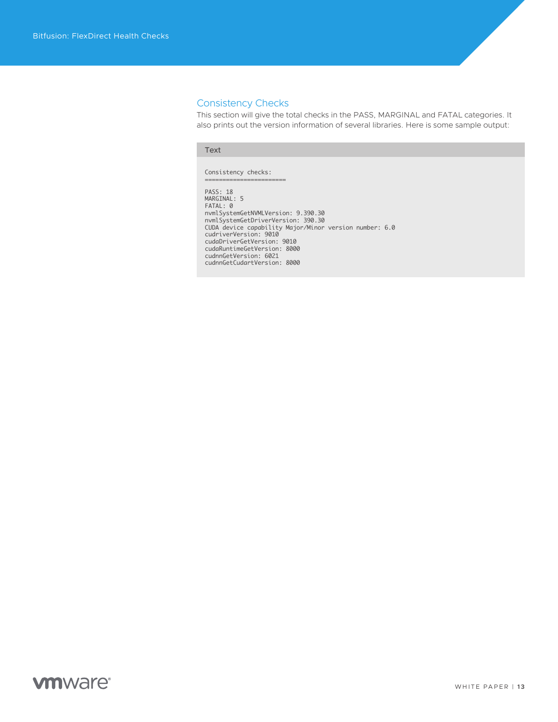#### <span id="page-12-0"></span>Consistency Checks

This section will give the total checks in the PASS, MARGINAL and FATAL categories. It also prints out the version information of several libraries. Here is some sample output:

#### Text

Consistency checks: =======================

PASS: 18 MARGINAL: 5 FATAL: 0 nvmlSystemGetNVMLVersion: 9.390.30<br>nvmlSystemGetDriverVersion: 390.30<br>CUDA device capability Major/Minor version number: 6.0<br>cudaTurerVersion: 9010<br>cudaDriverGetVersion: 9010<br>cudaRuntimeGetVersion: 8000<br>cudnnGetVersion: 60 cudnnGetCudartVersion: 8000

# **vm**ware<sup>®</sup>